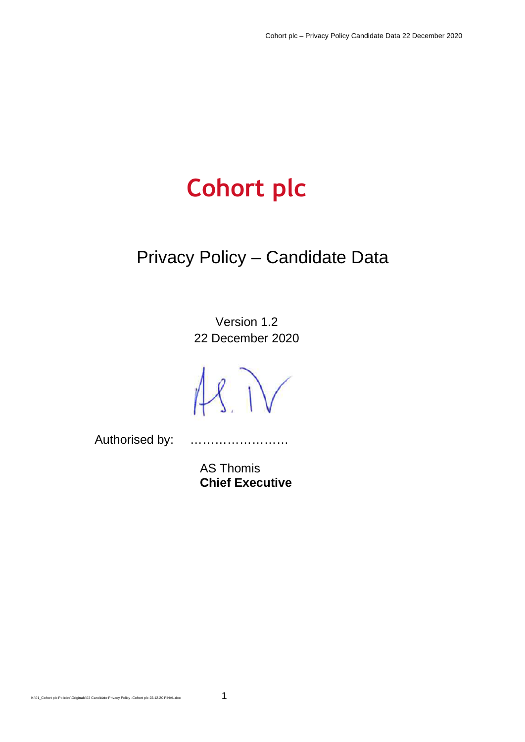# **Cohort plc**

## Privacy Policy – Candidate Data

Version 1.2 22 December 2020

 $18.1V$ 

Authorised by: ……………………

AS Thomis **Chief Executive**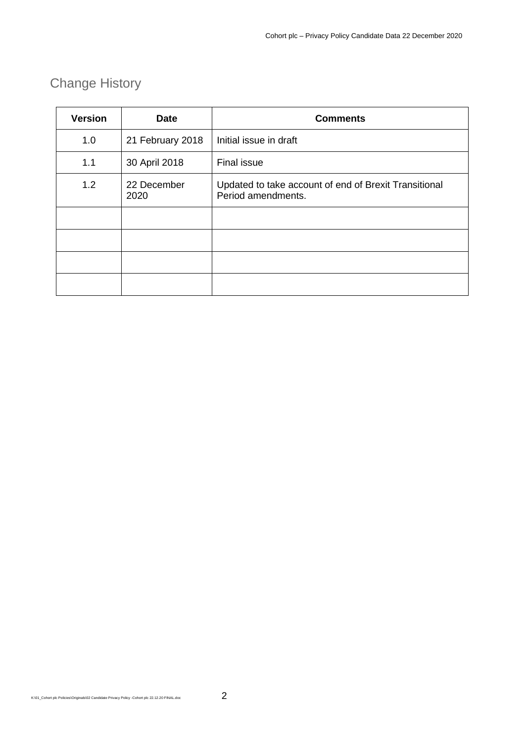### Change History

| <b>Version</b> | <b>Date</b>         | <b>Comments</b>                                                             |
|----------------|---------------------|-----------------------------------------------------------------------------|
| 1.0            | 21 February 2018    | Initial issue in draft                                                      |
| 1.1            | 30 April 2018       | Final issue                                                                 |
| 1.2            | 22 December<br>2020 | Updated to take account of end of Brexit Transitional<br>Period amendments. |
|                |                     |                                                                             |
|                |                     |                                                                             |
|                |                     |                                                                             |
|                |                     |                                                                             |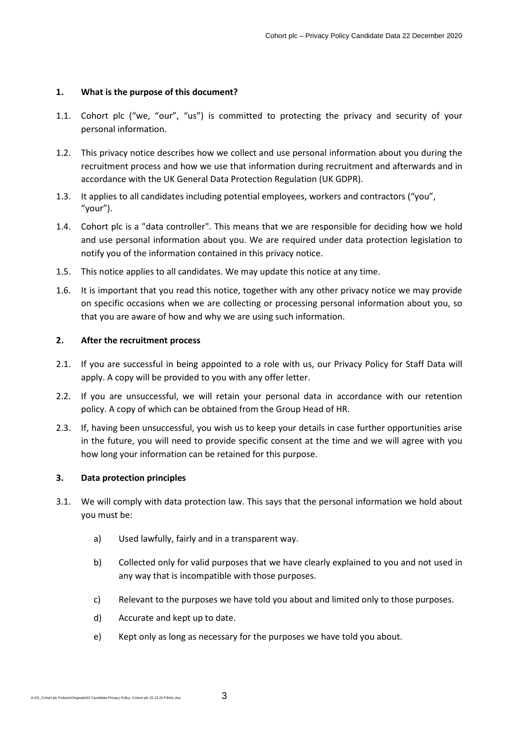#### **1. What is the purpose of this document?**

- 1.1. Cohort plc ("we, "our", "us") is committed to protecting the privacy and security of your personal information.
- 1.2. This privacy notice describes how we collect and use personal information about you during the recruitment process and how we use that information during recruitment and afterwards and in accordance with the UK General Data Protection Regulation (UK GDPR).
- 1.3. It applies to all candidates including potential employees, workers and contractors ("you", "your").
- 1.4. Cohort plc is a "data controller". This means that we are responsible for deciding how we hold and use personal information about you. We are required under data protection legislation to notify you of the information contained in this privacy notice.
- 1.5. This notice applies to all candidates. We may update this notice at any time.
- 1.6. It is important that you read this notice, together with any other privacy notice we may provide on specific occasions when we are collecting or processing personal information about you, so that you are aware of how and why we are using such information.

#### **2. After the recruitment process**

- 2.1. If you are successful in being appointed to a role with us, our Privacy Policy for Staff Data will apply. A copy will be provided to you with any offer letter.
- 2.2. If you are unsuccessful, we will retain your personal data in accordance with our retention policy. A copy of which can be obtained from the Group Head of HR.
- 2.3. If, having been unsuccessful, you wish us to keep your details in case further opportunities arise in the future, you will need to provide specific consent at the time and we will agree with you how long your information can be retained for this purpose.

#### **3. Data protection principles**

- 3.1. We will comply with data protection law. This says that the personal information we hold about you must be:
	- a) Used lawfully, fairly and in a transparent way.
	- b) Collected only for valid purposes that we have clearly explained to you and not used in any way that is incompatible with those purposes.
	- c) Relevant to the purposes we have told you about and limited only to those purposes.
	- d) Accurate and kept up to date.
	- e) Kept only as long as necessary for the purposes we have told you about.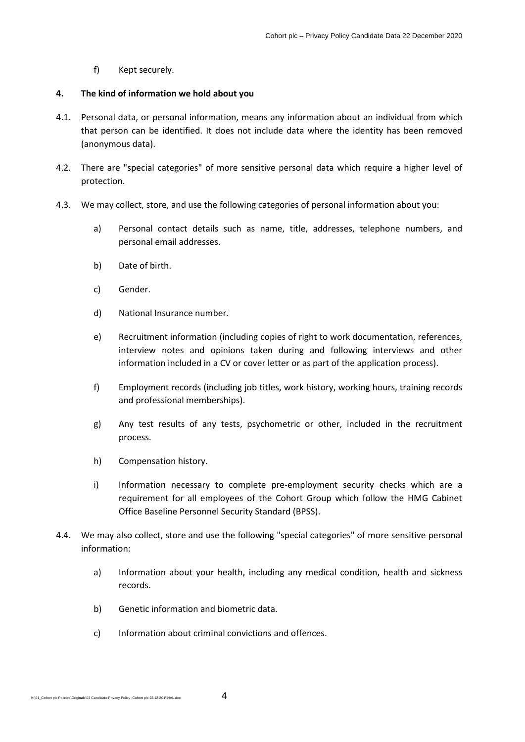f) Kept securely.

#### **4. The kind of information we hold about you**

- 4.1. Personal data, or personal information, means any information about an individual from which that person can be identified. It does not include data where the identity has been removed (anonymous data).
- 4.2. There are "special categories" of more sensitive personal data which require a higher level of protection.
- 4.3. We may collect, store, and use the following categories of personal information about you:
	- a) Personal contact details such as name, title, addresses, telephone numbers, and personal email addresses.
	- b) Date of birth.
	- c) Gender.
	- d) National Insurance number.
	- e) Recruitment information (including copies of right to work documentation, references, interview notes and opinions taken during and following interviews and other information included in a CV or cover letter or as part of the application process).
	- f) Employment records (including job titles, work history, working hours, training records and professional memberships).
	- g) Any test results of any tests, psychometric or other, included in the recruitment process.
	- h) Compensation history.
	- i) Information necessary to complete pre-employment security checks which are a requirement for all employees of the Cohort Group which follow the HMG Cabinet Office Baseline Personnel Security Standard (BPSS).
- 4.4. We may also collect, store and use the following "special categories" of more sensitive personal information:
	- a) Information about your health, including any medical condition, health and sickness records.
	- b) Genetic information and biometric data.
	- c) Information about criminal convictions and offences.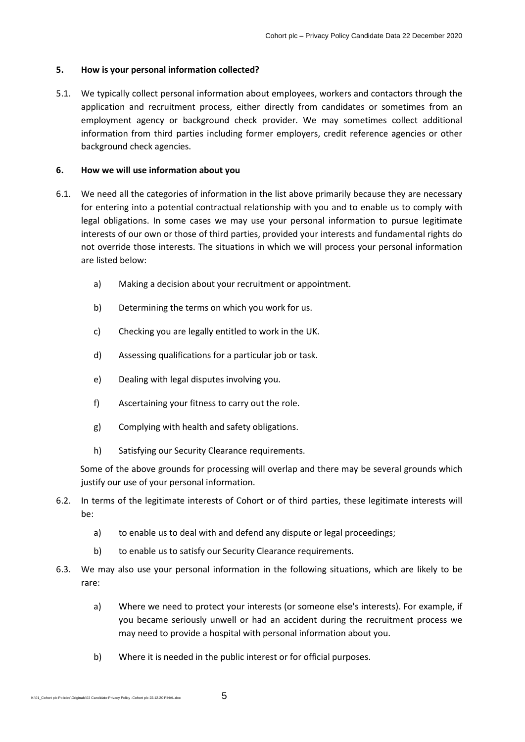#### **5. How is your personal information collected?**

5.1. We typically collect personal information about employees, workers and contactors through the application and recruitment process, either directly from candidates or sometimes from an employment agency or background check provider. We may sometimes collect additional information from third parties including former employers, credit reference agencies or other background check agencies.

#### **6. How we will use information about you**

- 6.1. We need all the categories of information in the list above primarily because they are necessary for entering into a potential contractual relationship with you and to enable us to comply with legal obligations. In some cases we may use your personal information to pursue legitimate interests of our own or those of third parties, provided your interests and fundamental rights do not override those interests. The situations in which we will process your personal information are listed below:
	- a) Making a decision about your recruitment or appointment.
	- b) Determining the terms on which you work for us.
	- c) Checking you are legally entitled to work in the UK.
	- d) Assessing qualifications for a particular job or task.
	- e) Dealing with legal disputes involving you.
	- f) Ascertaining your fitness to carry out the role.
	- g) Complying with health and safety obligations.
	- h) Satisfying our Security Clearance requirements.

 Some of the above grounds for processing will overlap and there may be several grounds which justify our use of your personal information.

- 6.2. In terms of the legitimate interests of Cohort or of third parties, these legitimate interests will be:
	- a) to enable us to deal with and defend any dispute or legal proceedings;
	- b) to enable us to satisfy our Security Clearance requirements.
- 6.3. We may also use your personal information in the following situations, which are likely to be rare:
	- a) Where we need to protect your interests (or someone else's interests). For example, if you became seriously unwell or had an accident during the recruitment process we may need to provide a hospital with personal information about you.
	- b) Where it is needed in the public interest or for official purposes.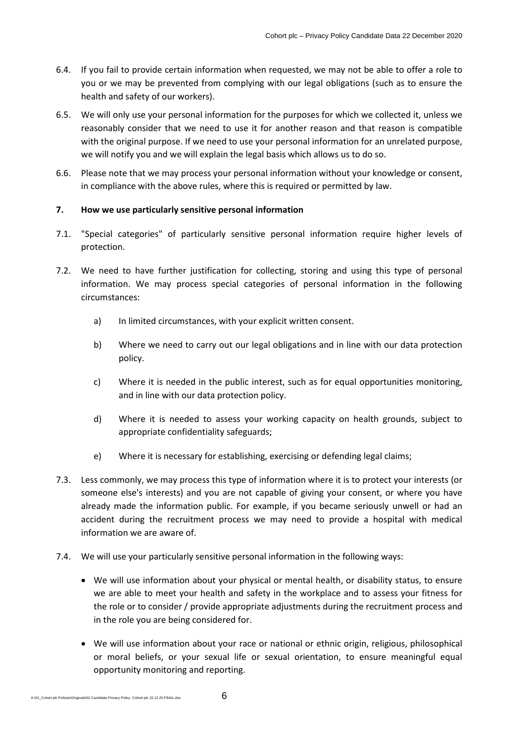- 6.4. If you fail to provide certain information when requested, we may not be able to offer a role to you or we may be prevented from complying with our legal obligations (such as to ensure the health and safety of our workers).
- 6.5. We will only use your personal information for the purposes for which we collected it, unless we reasonably consider that we need to use it for another reason and that reason is compatible with the original purpose. If we need to use your personal information for an unrelated purpose, we will notify you and we will explain the legal basis which allows us to do so.
- 6.6. Please note that we may process your personal information without your knowledge or consent, in compliance with the above rules, where this is required or permitted by law.

#### **7. How we use particularly sensitive personal information**

- 7.1. "Special categories" of particularly sensitive personal information require higher levels of protection.
- 7.2. We need to have further justification for collecting, storing and using this type of personal information. We may process special categories of personal information in the following circumstances:
	- a) In limited circumstances, with your explicit written consent.
	- b) Where we need to carry out our legal obligations and in line with our data protection policy.
	- c) Where it is needed in the public interest, such as for equal opportunities monitoring, and in line with our data protection policy.
	- d) Where it is needed to assess your working capacity on health grounds, subject to appropriate confidentiality safeguards;
	- e) Where it is necessary for establishing, exercising or defending legal claims;
- 7.3. Less commonly, we may process this type of information where it is to protect your interests (or someone else's interests) and you are not capable of giving your consent, or where you have already made the information public. For example, if you became seriously unwell or had an accident during the recruitment process we may need to provide a hospital with medical information we are aware of.
- 7.4. We will use your particularly sensitive personal information in the following ways:
	- We will use information about your physical or mental health, or disability status, to ensure we are able to meet your health and safety in the workplace and to assess your fitness for the role or to consider / provide appropriate adjustments during the recruitment process and in the role you are being considered for.
	- We will use information about your race or national or ethnic origin, religious, philosophical or moral beliefs, or your sexual life or sexual orientation, to ensure meaningful equal opportunity monitoring and reporting.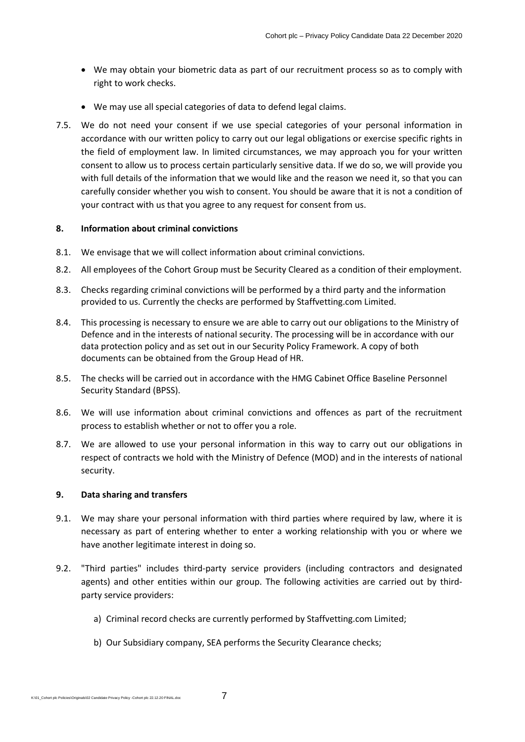- We may obtain your biometric data as part of our recruitment process so as to comply with right to work checks.
- We may use all special categories of data to defend legal claims.
- 7.5. We do not need your consent if we use special categories of your personal information in accordance with our written policy to carry out our legal obligations or exercise specific rights in the field of employment law. In limited circumstances, we may approach you for your written consent to allow us to process certain particularly sensitive data. If we do so, we will provide you with full details of the information that we would like and the reason we need it, so that you can carefully consider whether you wish to consent. You should be aware that it is not a condition of your contract with us that you agree to any request for consent from us.

#### **8. Information about criminal convictions**

- 8.1. We envisage that we will collect information about criminal convictions.
- 8.2. All employees of the Cohort Group must be Security Cleared as a condition of their employment.
- 8.3. Checks regarding criminal convictions will be performed by a third party and the information provided to us. Currently the checks are performed by Staffvetting.com Limited.
- 8.4. This processing is necessary to ensure we are able to carry out our obligations to the Ministry of Defence and in the interests of national security. The processing will be in accordance with our data protection policy and as set out in our Security Policy Framework. A copy of both documents can be obtained from the Group Head of HR.
- 8.5. The checks will be carried out in accordance with the HMG Cabinet Office Baseline Personnel Security Standard (BPSS).
- 8.6. We will use information about criminal convictions and offences as part of the recruitment process to establish whether or not to offer you a role.
- 8.7. We are allowed to use your personal information in this way to carry out our obligations in respect of contracts we hold with the Ministry of Defence (MOD) and in the interests of national security.

#### **9. Data sharing and transfers**

- 9.1. We may share your personal information with third parties where required by law, where it is necessary as part of entering whether to enter a working relationship with you or where we have another legitimate interest in doing so.
- 9.2. "Third parties" includes third-party service providers (including contractors and designated agents) and other entities within our group. The following activities are carried out by thirdparty service providers:
	- a) Criminal record checks are currently performed by Staffvetting.com Limited;
	- b) Our Subsidiary company, SEA performs the Security Clearance checks;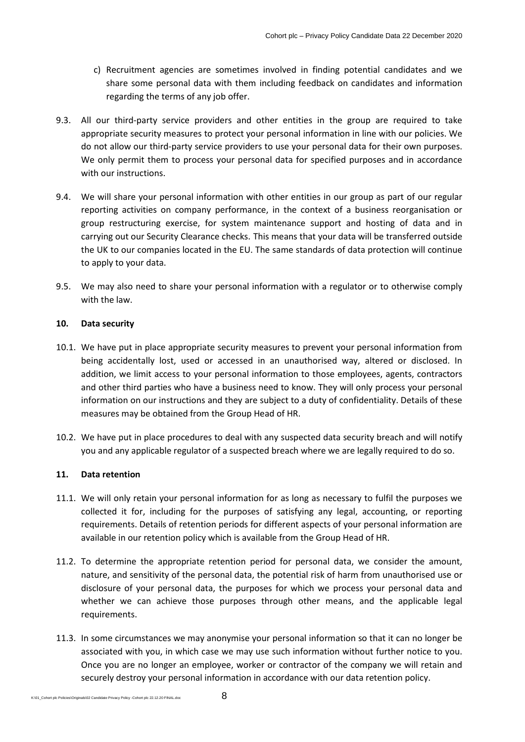- c) Recruitment agencies are sometimes involved in finding potential candidates and we share some personal data with them including feedback on candidates and information regarding the terms of any job offer.
- 9.3. All our third-party service providers and other entities in the group are required to take appropriate security measures to protect your personal information in line with our policies. We do not allow our third-party service providers to use your personal data for their own purposes. We only permit them to process your personal data for specified purposes and in accordance with our instructions.
- 9.4. We will share your personal information with other entities in our group as part of our regular reporting activities on company performance, in the context of a business reorganisation or group restructuring exercise, for system maintenance support and hosting of data and in carrying out our Security Clearance checks. This means that your data will be transferred outside the UK to our companies located in the EU. The same standards of data protection will continue to apply to your data.
- 9.5. We may also need to share your personal information with a regulator or to otherwise comply with the law.

#### **10. Data security**

- 10.1. We have put in place appropriate security measures to prevent your personal information from being accidentally lost, used or accessed in an unauthorised way, altered or disclosed. In addition, we limit access to your personal information to those employees, agents, contractors and other third parties who have a business need to know. They will only process your personal information on our instructions and they are subject to a duty of confidentiality. Details of these measures may be obtained from the Group Head of HR.
- 10.2. We have put in place procedures to deal with any suspected data security breach and will notify you and any applicable regulator of a suspected breach where we are legally required to do so.

#### **11. Data retention**

- 11.1. We will only retain your personal information for as long as necessary to fulfil the purposes we collected it for, including for the purposes of satisfying any legal, accounting, or reporting requirements. Details of retention periods for different aspects of your personal information are available in our retention policy which is available from the Group Head of HR.
- 11.2. To determine the appropriate retention period for personal data, we consider the amount, nature, and sensitivity of the personal data, the potential risk of harm from unauthorised use or disclosure of your personal data, the purposes for which we process your personal data and whether we can achieve those purposes through other means, and the applicable legal requirements.
- 11.3. In some circumstances we may anonymise your personal information so that it can no longer be associated with you, in which case we may use such information without further notice to you. Once you are no longer an employee, worker or contractor of the company we will retain and securely destroy your personal information in accordance with our data retention policy.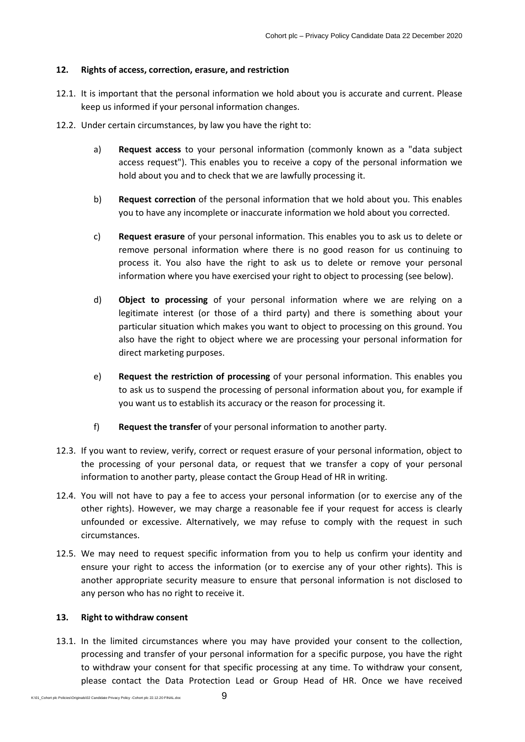#### **12. Rights of access, correction, erasure, and restriction**

- 12.1. It is important that the personal information we hold about you is accurate and current. Please keep us informed if your personal information changes.
- 12.2. Under certain circumstances, by law you have the right to:
	- a) **Request access** to your personal information (commonly known as a "data subject access request"). This enables you to receive a copy of the personal information we hold about you and to check that we are lawfully processing it.
	- b) **Request correction** of the personal information that we hold about you. This enables you to have any incomplete or inaccurate information we hold about you corrected.
	- c) **Request erasure** of your personal information. This enables you to ask us to delete or remove personal information where there is no good reason for us continuing to process it. You also have the right to ask us to delete or remove your personal information where you have exercised your right to object to processing (see below).
	- d) **Object to processing** of your personal information where we are relying on a legitimate interest (or those of a third party) and there is something about your particular situation which makes you want to object to processing on this ground. You also have the right to object where we are processing your personal information for direct marketing purposes.
	- e) **Request the restriction of processing** of your personal information. This enables you to ask us to suspend the processing of personal information about you, for example if you want us to establish its accuracy or the reason for processing it.
	- f) **Request the transfer** of your personal information to another party.
- 12.3. If you want to review, verify, correct or request erasure of your personal information, object to the processing of your personal data, or request that we transfer a copy of your personal information to another party, please contact the Group Head of HR in writing.
- 12.4. You will not have to pay a fee to access your personal information (or to exercise any of the other rights). However, we may charge a reasonable fee if your request for access is clearly unfounded or excessive. Alternatively, we may refuse to comply with the request in such circumstances.
- 12.5. We may need to request specific information from you to help us confirm your identity and ensure your right to access the information (or to exercise any of your other rights). This is another appropriate security measure to ensure that personal information is not disclosed to any person who has no right to receive it.

#### **13. Right to withdraw consent**

13.1. In the limited circumstances where you may have provided your consent to the collection, processing and transfer of your personal information for a specific purpose, you have the right to withdraw your consent for that specific processing at any time. To withdraw your consent, please contact the Data Protection Lead or Group Head of HR. Once we have received